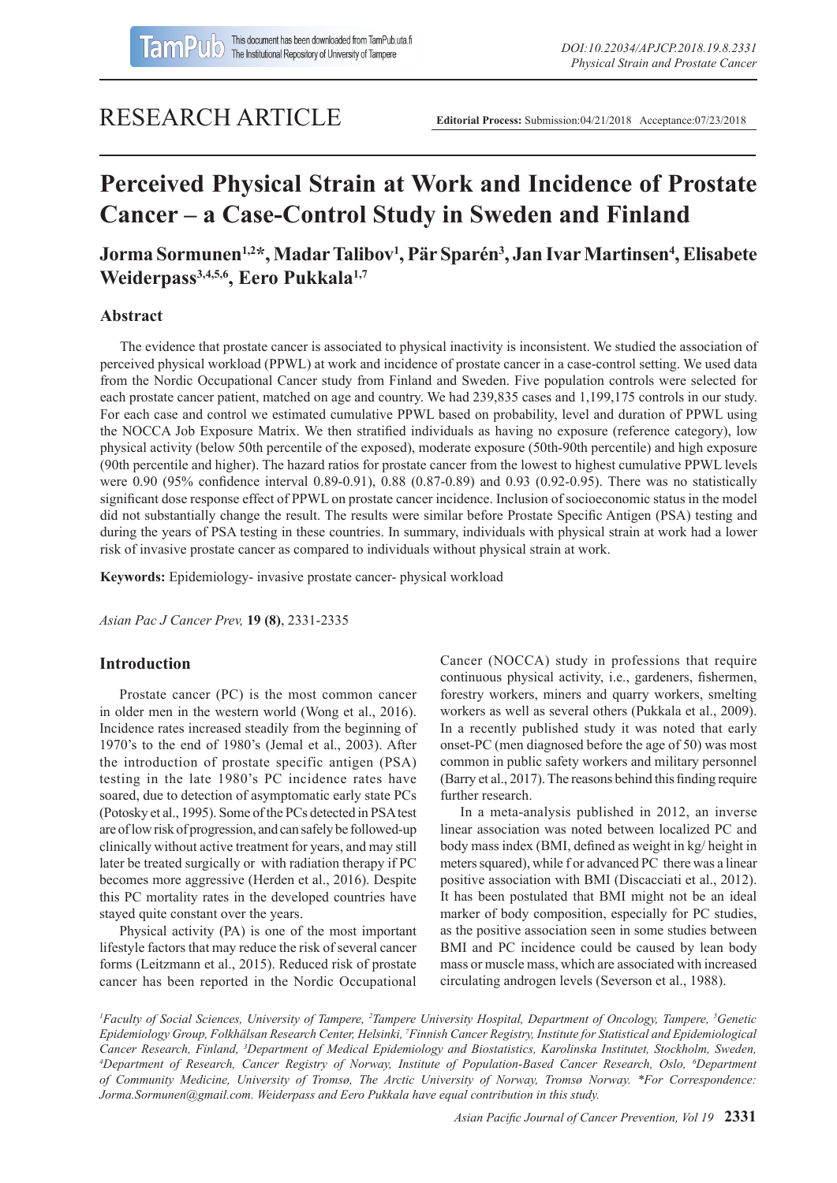# RESEARCH ARTICLE

**Editorial Process:** Submission:04/21/2018 Acceptance:07/23/2018

# **Perceived Physical Strain at Work and Incidence of Prostate Cancer – a Case-Control Study in Sweden and Finland**

## **Jorma Sormunen1,2\*, Madar Talibov1 , Pär Sparén3 , Jan Ivar Martinsen4 , Elisabete Weiderpass3,4,5,6, Eero Pukkala1,7**

## **Abstract**

The evidence that prostate cancer is associated to physical inactivity is inconsistent. We studied the association of perceived physical workload (PPWL) at work and incidence of prostate cancer in a case-control setting. We used data from the Nordic Occupational Cancer study from Finland and Sweden. Five population controls were selected for each prostate cancer patient, matched on age and country. We had 239,835 cases and 1,199,175 controls in our study. For each case and control we estimated cumulative PPWL based on probability, level and duration of PPWL using the NOCCA Job Exposure Matrix. We then stratified individuals as having no exposure (reference category), low physical activity (below 50th percentile of the exposed), moderate exposure (50th-90th percentile) and high exposure (90th percentile and higher). The hazard ratios for prostate cancer from the lowest to highest cumulative PPWL levels were 0.90 (95% confidence interval 0.89-0.91), 0.88 (0.87-0.89) and 0.93 (0.92-0.95). There was no statistically significant dose response effect of PPWL on prostate cancer incidence. Inclusion of socioeconomic status in the model did not substantially change the result. The results were similar before Prostate Specific Antigen (PSA) testing and during the years of PSA testing in these countries. In summary, individuals with physical strain at work had a lower risk of invasive prostate cancer as compared to individuals without physical strain at work.

**Keywords:** Epidemiology- invasive prostate cancer- physical workload

*Asian Pac J Cancer Prev,* **19 (8)**, 2331-2335

## **Introduction**

Prostate cancer (PC) is the most common cancer in older men in the western world (Wong et al., 2016). Incidence rates increased steadily from the beginning of 1970's to the end of 1980's (Jemal et al., 2003). After the introduction of prostate specific antigen (PSA) testing in the late 1980's PC incidence rates have soared, due to detection of asymptomatic early state PCs (Potosky et al., 1995). Some of the PCs detected in PSA test are of low risk of progression, and can safely be followed-up clinically without active treatment for years, and may still later be treated surgically or with radiation therapy if PC becomes more aggressive (Herden et al., 2016). Despite this PC mortality rates in the developed countries have stayed quite constant over the years.

Physical activity (PA) is one of the most important lifestyle factors that may reduce the risk of several cancer forms (Leitzmann et al., 2015). Reduced risk of prostate cancer has been reported in the Nordic Occupational

Cancer (NOCCA) study in professions that require continuous physical activity, i.e., gardeners, fishermen, forestry workers, miners and quarry workers, smelting workers as well as several others (Pukkala et al., 2009). In a recently published study it was noted that early onset-PC (men diagnosed before the age of 50) was most common in public safety workers and military personnel (Barry et al., 2017). The reasons behind this finding require further research.

In a meta-analysis published in 2012, an inverse linear association was noted between localized PC and body mass index (BMI, defined as weight in kg/ height in meters squared), while f or advanced PC there was a linear positive association with BMI (Discacciati et al., 2012). It has been postulated that BMI might not be an ideal marker of body composition, especially for PC studies, as the positive association seen in some studies between BMI and PC incidence could be caused by lean body mass or muscle mass, which are associated with increased circulating androgen levels (Severson et al., 1988).

<sup>*I*</sup> Faculty of Social Sciences, University of Tampere, <sup>2</sup>Tampere University Hospital, Department of Oncology, Tampere, <sup>5</sup>Genetic *Epidemiology Group, Folkhälsan Research Center, Helsinki, 7 Finnish Cancer Registry, Institute for Statistical and Epidemiological Cancer Research, Finland, 3 Department of Medical Epidemiology and Biostatistics, Karolinska Institutet, Stockholm, Sweden, 4 Department of Research, Cancer Registry of Norway, Institute of Population-Based Cancer Research, Oslo, 6 Department of Community Medicine, University of Tromsø, The Arctic University of Norway, Tromsø Norway. \*For Correspondence: Jorma.Sormunen@gmail.com. Weiderpass and Eero Pukkala have equal contribution in this study.*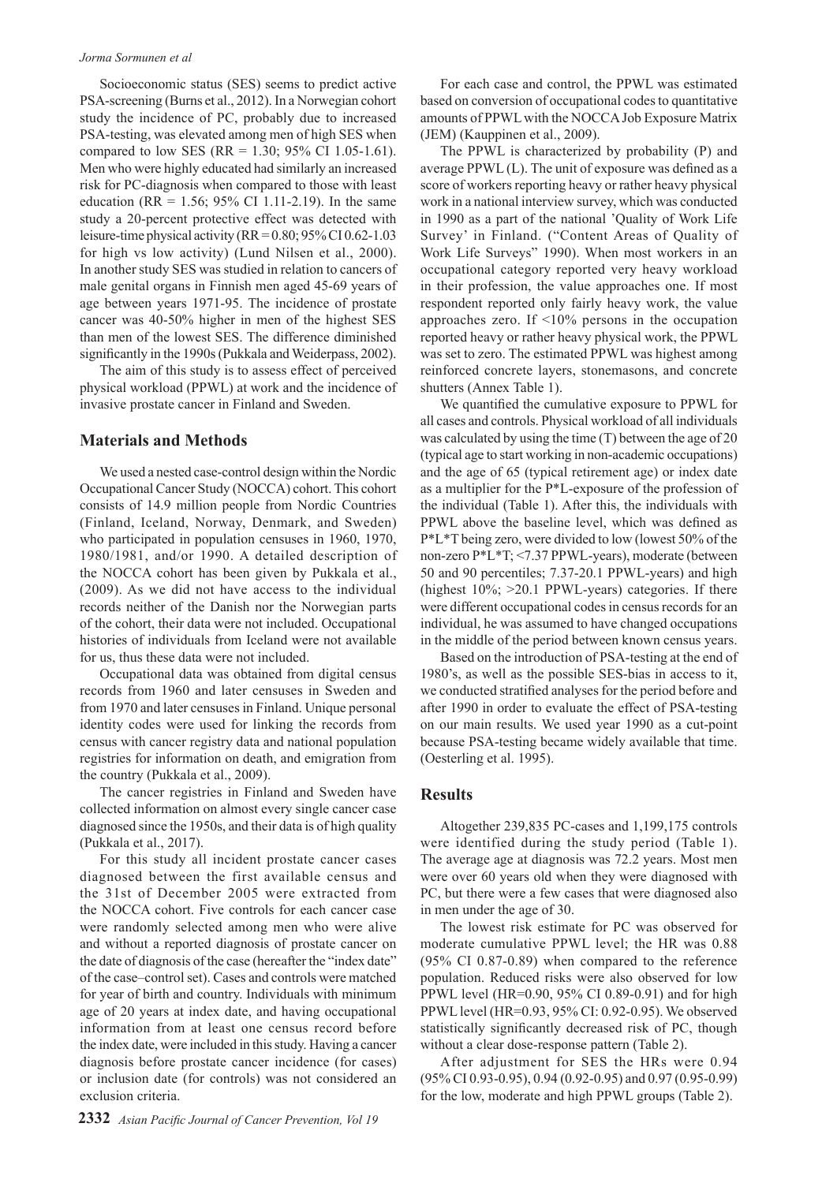#### *Jorma Sormunen et al*

Socioeconomic status (SES) seems to predict active PSA-screening (Burns et al., 2012). In a Norwegian cohort study the incidence of PC, probably due to increased PSA-testing, was elevated among men of high SES when compared to low SES (RR = 1.30; 95% CI 1.05-1.61). Men who were highly educated had similarly an increased risk for PC-diagnosis when compared to those with least education (RR =  $1.56$ ; 95% CI 1.11-2.19). In the same study a 20-percent protective effect was detected with leisure-time physical activity ( $RR = 0.80$ ;  $95\%$  CI 0.62-1.03 for high vs low activity) (Lund Nilsen et al., 2000). In another study SES was studied in relation to cancers of male genital organs in Finnish men aged 45-69 years of age between years 1971-95. The incidence of prostate cancer was 40-50% higher in men of the highest SES than men of the lowest SES. The difference diminished significantly in the 1990s (Pukkala and Weiderpass, 2002).

The aim of this study is to assess effect of perceived physical workload (PPWL) at work and the incidence of invasive prostate cancer in Finland and Sweden.

#### **Materials and Methods**

We used a nested case-control design within the Nordic Occupational Cancer Study (NOCCA) cohort. This cohort consists of 14.9 million people from Nordic Countries (Finland, Iceland, Norway, Denmark, and Sweden) who participated in population censuses in 1960, 1970, 1980/1981, and/or 1990. A detailed description of the NOCCA cohort has been given by Pukkala et al., (2009). As we did not have access to the individual records neither of the Danish nor the Norwegian parts of the cohort, their data were not included. Occupational histories of individuals from Iceland were not available for us, thus these data were not included.

Occupational data was obtained from digital census records from 1960 and later censuses in Sweden and from 1970 and later censuses in Finland. Unique personal identity codes were used for linking the records from census with cancer registry data and national population registries for information on death, and emigration from the country (Pukkala et al., 2009).

The cancer registries in Finland and Sweden have collected information on almost every single cancer case diagnosed since the 1950s, and their data is of high quality (Pukkala et al., 2017).

For this study all incident prostate cancer cases diagnosed between the first available census and the 31st of December 2005 were extracted from the NOCCA cohort. Five controls for each cancer case were randomly selected among men who were alive and without a reported diagnosis of prostate cancer on the date of diagnosis of the case (hereafter the "index date" of the case–control set). Cases and controls were matched for year of birth and country. Individuals with minimum age of 20 years at index date, and having occupational information from at least one census record before the index date, were included in this study. Having a cancer diagnosis before prostate cancer incidence (for cases) or inclusion date (for controls) was not considered an exclusion criteria.

For each case and control, the PPWL was estimated based on conversion of occupational codes to quantitative amounts of PPWL with the NOCCA Job Exposure Matrix (JEM) (Kauppinen et al., 2009).

The PPWL is characterized by probability (P) and average PPWL (L). The unit of exposure was defined as a score of workers reporting heavy or rather heavy physical work in a national interview survey, which was conducted in 1990 as a part of the national 'Quality of Work Life Survey' in Finland. ("Content Areas of Quality of Work Life Surveys" 1990). When most workers in an occupational category reported very heavy workload in their profession, the value approaches one. If most respondent reported only fairly heavy work, the value approaches zero. If <10% persons in the occupation reported heavy or rather heavy physical work, the PPWL was set to zero. The estimated PPWL was highest among reinforced concrete layers, stonemasons, and concrete shutters (Annex Table 1).

We quantified the cumulative exposure to PPWL for all cases and controls. Physical workload of all individuals was calculated by using the time (T) between the age of 20 (typical age to start working in non-academic occupations) and the age of 65 (typical retirement age) or index date as a multiplier for the P\*L-exposure of the profession of the individual (Table 1). After this, the individuals with PPWL above the baseline level, which was defined as P\*L\*T being zero, were divided to low (lowest 50% of the non-zero P\*L\*T; <7.37 PPWL-years), moderate (between 50 and 90 percentiles; 7.37-20.1 PPWL-years) and high (highest 10%; >20.1 PPWL-years) categories. If there were different occupational codes in census records for an individual, he was assumed to have changed occupations in the middle of the period between known census years.

Based on the introduction of PSA-testing at the end of 1980's, as well as the possible SES-bias in access to it, we conducted stratified analyses for the period before and after 1990 in order to evaluate the effect of PSA-testing on our main results. We used year 1990 as a cut-point because PSA-testing became widely available that time. (Oesterling et al. 1995).

## **Results**

Altogether 239,835 PC-cases and 1,199,175 controls were identified during the study period (Table 1). The average age at diagnosis was 72.2 years. Most men were over 60 years old when they were diagnosed with PC, but there were a few cases that were diagnosed also in men under the age of 30.

The lowest risk estimate for PC was observed for moderate cumulative PPWL level; the HR was 0.88 (95% CI 0.87-0.89) when compared to the reference population. Reduced risks were also observed for low PPWL level (HR=0.90, 95% CI 0.89-0.91) and for high PPWL level (HR=0.93, 95% CI: 0.92-0.95). We observed statistically significantly decreased risk of PC, though without a clear dose-response pattern (Table 2).

After adjustment for SES the HRs were 0.94 (95% CI 0.93-0.95), 0.94 (0.92-0.95) and 0.97 (0.95-0.99) for the low, moderate and high PPWL groups (Table 2).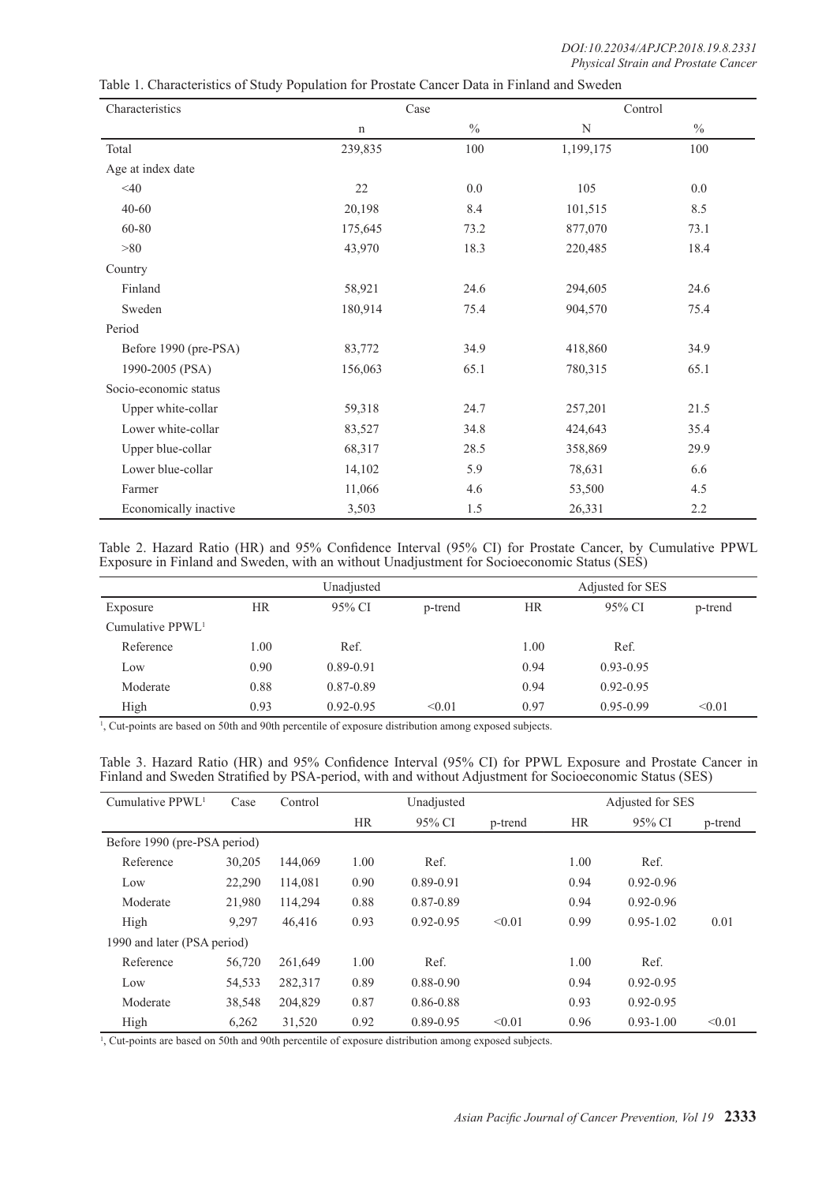| Characteristics       | Case    |      | Control   |      |
|-----------------------|---------|------|-----------|------|
|                       | n       | $\%$ | N         | $\%$ |
| Total                 | 239,835 | 100  | 1,199,175 | 100  |
| Age at index date     |         |      |           |      |
| $<$ 40                | 22      | 0.0  | 105       | 0.0  |
| $40 - 60$             | 20,198  | 8.4  | 101,515   | 8.5  |
| 60-80                 | 175,645 | 73.2 | 877,070   | 73.1 |
| >80                   | 43,970  | 18.3 | 220,485   | 18.4 |
| Country               |         |      |           |      |
| Finland               | 58,921  | 24.6 | 294,605   | 24.6 |
| Sweden                | 180,914 | 75.4 | 904,570   | 75.4 |
| Period                |         |      |           |      |
| Before 1990 (pre-PSA) | 83,772  | 34.9 | 418,860   | 34.9 |
| 1990-2005 (PSA)       | 156,063 | 65.1 | 780,315   | 65.1 |
| Socio-economic status |         |      |           |      |
| Upper white-collar    | 59,318  | 24.7 | 257,201   | 21.5 |
| Lower white-collar    | 83,527  | 34.8 | 424,643   | 35.4 |
| Upper blue-collar     | 68,317  | 28.5 | 358,869   | 29.9 |
| Lower blue-collar     | 14,102  | 5.9  | 78,631    | 6.6  |
| Farmer                | 11,066  | 4.6  | 53,500    | 4.5  |
| Economically inactive | 3,503   | 1.5  | 26,331    | 2.2  |

Table 1. Characteristics of Study Population for Prostate Cancer Data in Finland and Sweden

Table 2. Hazard Ratio (HR) and 95% Confidence Interval (95% CI) for Prostate Cancer, by Cumulative PPWL Exposure in Finland and Sweden, with an without Unadjustment for Socioeconomic Status (SES)

|                    | Unadjusted |                   |        | Adjusted for SES |               |         |  |
|--------------------|------------|-------------------|--------|------------------|---------------|---------|--|
| Exposure           | <b>HR</b>  | 95% CI<br>p-trend |        | <b>HR</b>        | 95% CI        | p-trend |  |
| Cumulative $PPWL1$ |            |                   |        |                  |               |         |  |
| Reference          | 1.00       | Ref.              |        | 1.00             | Ref.          |         |  |
| Low                | 0.90       | 0.89-0.91         |        | 0.94             | $0.93 - 0.95$ |         |  |
| Moderate           | 0.88       | 0.87-0.89         |        | 0.94             | $0.92 - 0.95$ |         |  |
| High               | 0.93       | $0.92 - 0.95$     | < 0.01 | 0.97             | $0.95 - 0.99$ | < 0.01  |  |

1 , Cut-points are based on 50th and 90th percentile of exposure distribution among exposed subjects.

| Table 3. Hazard Ratio (HR) and 95% Confidence Interval (95% CI) for PPWL Exposure and Prostate Cancer in |  |  |  |
|----------------------------------------------------------------------------------------------------------|--|--|--|
| Finland and Sweden Stratified by PSA-period, with and without Adjustment for Socioeconomic Status (SES)  |  |  |  |

| Cumulative PPWL <sup>1</sup> | Case   | Control | Unadjusted |               |         | Adjusted for SES |               |         |
|------------------------------|--------|---------|------------|---------------|---------|------------------|---------------|---------|
|                              |        |         | <b>HR</b>  | 95% CI        | p-trend | <b>HR</b>        | 95% CI        | p-trend |
| Before 1990 (pre-PSA period) |        |         |            |               |         |                  |               |         |
| Reference                    | 30,205 | 144,069 | 1.00       | Ref.          |         | 1.00             | Ref.          |         |
| Low                          | 22,290 | 114.081 | 0.90       | 0.89-0.91     |         | 0.94             | $0.92 - 0.96$ |         |
| Moderate                     | 21,980 | 114,294 | 0.88       | 0.87-0.89     |         | 0.94             | $0.92 - 0.96$ |         |
| High                         | 9.297  | 46,416  | 0.93       | $0.92 - 0.95$ | < 0.01  | 0.99             | $0.95 - 1.02$ | 0.01    |
| 1990 and later (PSA period)  |        |         |            |               |         |                  |               |         |
| Reference                    | 56,720 | 261,649 | 1.00       | Ref.          |         | 1.00             | Ref.          |         |
| Low                          | 54,533 | 282,317 | 0.89       | 0.88-0.90     |         | 0.94             | $0.92 - 0.95$ |         |
| Moderate                     | 38,548 | 204,829 | 0.87       | 0.86-0.88     |         | 0.93             | $0.92 - 0.95$ |         |
| High                         | 6,262  | 31,520  | 0.92       | 0.89-0.95     | < 0.01  | 0.96             | $0.93 - 1.00$ | < 0.01  |

1 , Cut-points are based on 50th and 90th percentile of exposure distribution among exposed subjects.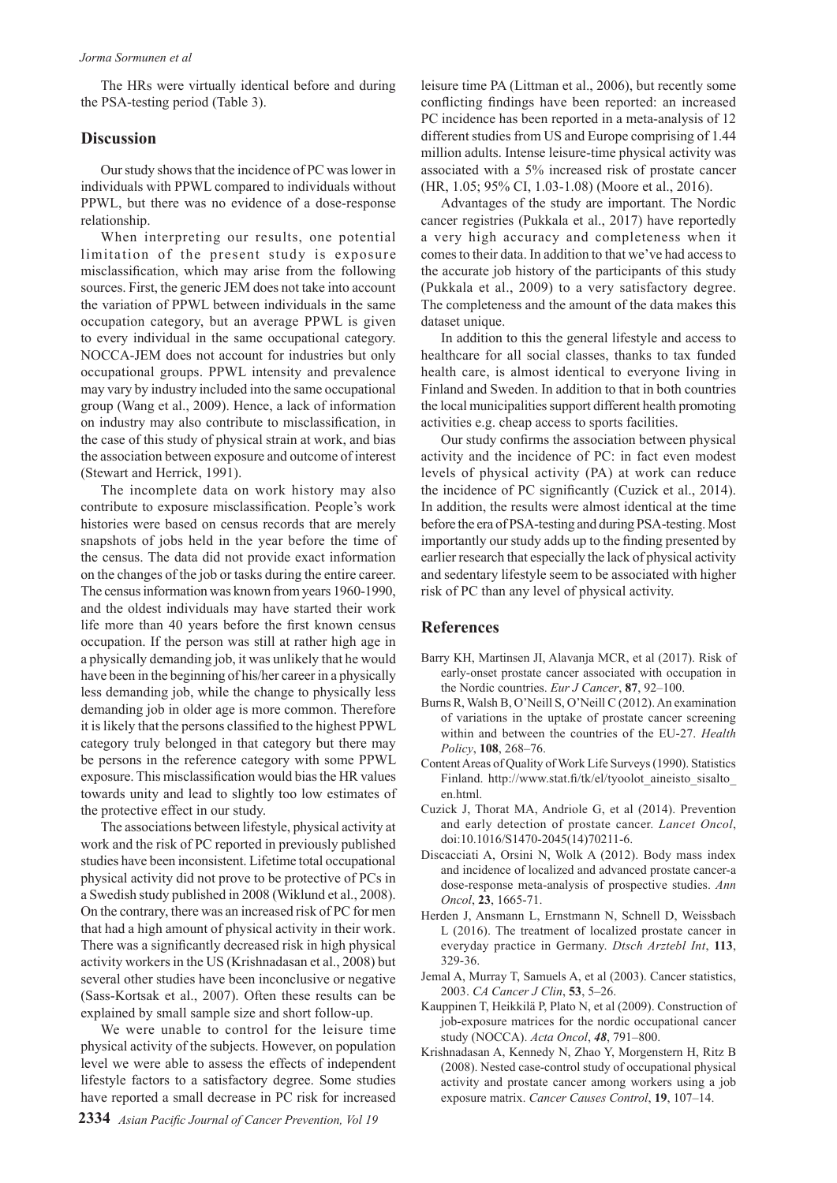The HRs were virtually identical before and during the PSA-testing period (Table 3).

## **Discussion**

Our study shows that the incidence of PC was lower in individuals with PPWL compared to individuals without PPWL, but there was no evidence of a dose-response relationship.

When interpreting our results, one potential limitation of the present study is exposure misclassification, which may arise from the following sources. First, the generic JEM does not take into account the variation of PPWL between individuals in the same occupation category, but an average PPWL is given to every individual in the same occupational category. NOCCA-JEM does not account for industries but only occupational groups. PPWL intensity and prevalence may vary by industry included into the same occupational group (Wang et al., 2009). Hence, a lack of information on industry may also contribute to misclassification, in the case of this study of physical strain at work, and bias the association between exposure and outcome of interest (Stewart and Herrick, 1991).

The incomplete data on work history may also contribute to exposure misclassification. People's work histories were based on census records that are merely snapshots of jobs held in the year before the time of the census. The data did not provide exact information on the changes of the job or tasks during the entire career. The census information was known from years 1960-1990, and the oldest individuals may have started their work life more than 40 years before the first known census occupation. If the person was still at rather high age in a physically demanding job, it was unlikely that he would have been in the beginning of his/her career in a physically less demanding job, while the change to physically less demanding job in older age is more common. Therefore it is likely that the persons classified to the highest PPWL category truly belonged in that category but there may be persons in the reference category with some PPWL exposure. This misclassification would bias the HR values towards unity and lead to slightly too low estimates of the protective effect in our study.

The associations between lifestyle, physical activity at work and the risk of PC reported in previously published studies have been inconsistent. Lifetime total occupational physical activity did not prove to be protective of PCs in a Swedish study published in 2008 (Wiklund et al., 2008). On the contrary, there was an increased risk of PC for men that had a high amount of physical activity in their work. There was a significantly decreased risk in high physical activity workers in the US (Krishnadasan et al., 2008) but several other studies have been inconclusive or negative (Sass-Kortsak et al., 2007). Often these results can be explained by small sample size and short follow-up.

We were unable to control for the leisure time physical activity of the subjects. However, on population level we were able to assess the effects of independent lifestyle factors to a satisfactory degree. Some studies have reported a small decrease in PC risk for increased

leisure time PA (Littman et al., 2006), but recently some conflicting findings have been reported: an increased PC incidence has been reported in a meta-analysis of 12 different studies from US and Europe comprising of 1.44 million adults. Intense leisure-time physical activity was associated with a 5% increased risk of prostate cancer (HR, 1.05; 95% CI, 1.03-1.08) (Moore et al., 2016).

Advantages of the study are important. The Nordic cancer registries (Pukkala et al., 2017) have reportedly a very high accuracy and completeness when it comes to their data. In addition to that we've had access to the accurate job history of the participants of this study (Pukkala et al., 2009) to a very satisfactory degree. The completeness and the amount of the data makes this dataset unique.

In addition to this the general lifestyle and access to healthcare for all social classes, thanks to tax funded health care, is almost identical to everyone living in Finland and Sweden. In addition to that in both countries the local municipalities support different health promoting activities e.g. cheap access to sports facilities.

Our study confirms the association between physical activity and the incidence of PC: in fact even modest levels of physical activity (PA) at work can reduce the incidence of PC significantly (Cuzick et al., 2014). In addition, the results were almost identical at the time before the era of PSA-testing and during PSA-testing. Most importantly our study adds up to the finding presented by earlier research that especially the lack of physical activity and sedentary lifestyle seem to be associated with higher risk of PC than any level of physical activity.

## **References**

- Barry KH, Martinsen JI, Alavanja MCR, et al (2017). Risk of early-onset prostate cancer associated with occupation in the Nordic countries. *Eur J Cancer*, **87**, 92–100.
- Burns R, Walsh B, O'Neill S, O'Neill C (2012). An examination of variations in the uptake of prostate cancer screening within and between the countries of the EU-27. *Health Policy*, **108**, 268–76.
- Content Areas of Quality of Work Life Surveys (1990). Statistics Finland. http://www.stat.fi/tk/el/tyoolot\_aineisto\_sisalto\_ en.html.
- Cuzick J, Thorat MA, Andriole G, et al (2014). Prevention and early detection of prostate cancer. *Lancet Oncol*, doi:10.1016/S1470-2045(14)70211-6.
- Discacciati A, Orsini N, Wolk A (2012). Body mass index and incidence of localized and advanced prostate cancer-a dose-response meta-analysis of prospective studies. *Ann Oncol*, **23**, 1665-71.
- Herden J, Ansmann L, Ernstmann N, Schnell D, Weissbach L (2016). The treatment of localized prostate cancer in everyday practice in Germany. *Dtsch Arztebl Int*, **113**, 329-36.
- Jemal A, Murray T, Samuels A, et al (2003). Cancer statistics, 2003. *CA Cancer J Clin*, **53**, 5–26.
- Kauppinen T, Heikkilä P, Plato N, et al (2009). Construction of job-exposure matrices for the nordic occupational cancer study (NOCCA). *Acta Oncol*, *48*, 791–800.
- Krishnadasan A, Kennedy N, Zhao Y, Morgenstern H, Ritz B (2008). Nested case-control study of occupational physical activity and prostate cancer among workers using a job exposure matrix. *Cancer Causes Control*, **19**, 107–14.